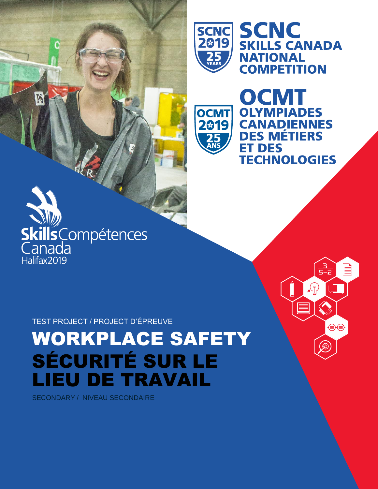

**OCMT** 

2019

**SCNC<br>SKILLS CANADA NATIONAL COMPETITION** 

OCMT

**ET DES** 

**OLYMPIADES** 

**CANADIENNES DES MÉTIERS** 

**TECHNOLOGIES** 

<u>ran</u><br>5-2

ම

T.

 $\bigoplus \bigoplus$ 

 $\cdot$   $\circ$ 

<u>s</u>



PS

TEST PROJECT / PROJECT D'ÉPREUVE

WORKPLACE SAFETY SÉCURITÉ SUR LE LIEU DE TRAVAIL

SECONDARY / NIVEAU SECONDAIRE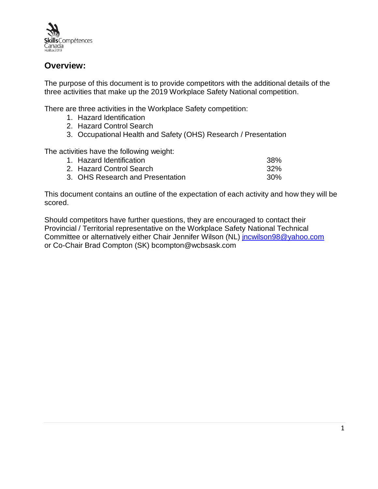

## **Overview:**

The purpose of this document is to provide competitors with the additional details of the three activities that make up the 2019 Workplace Safety National competition.

There are three activities in the Workplace Safety competition:

- 1. Hazard Identification
- 2. Hazard Control Search
- 3. Occupational Health and Safety (OHS) Research / Presentation

The activities have the following weight:

| 1. Hazard Identification         | .38% |
|----------------------------------|------|
| 2. Hazard Control Search         | .32% |
| 3. OHS Research and Presentation | .30% |

This document contains an outline of the expectation of each activity and how they will be scored.

Should competitors have further questions, they are encouraged to contact their Provincial / Territorial representative on the Workplace Safety National Technical Committee or alternatively either Chair Jennifer Wilson (NL) [jncwilson98@yahoo.com](mailto:jncwilson98@yahoo.com) or Co-Chair Brad Compton (SK) bcompton@wcbsask.com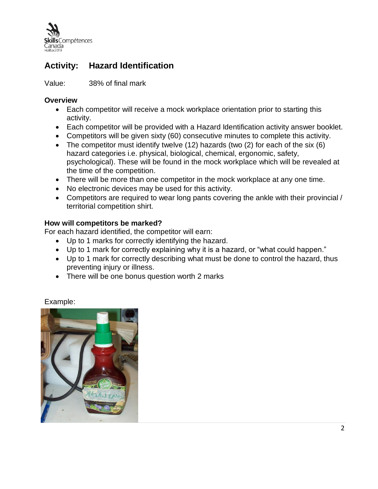

# **Activity: Hazard Identification**

Value: 38% of final mark

### **Overview**

- Each competitor will receive a mock workplace orientation prior to starting this activity.
- Each competitor will be provided with a Hazard Identification activity answer booklet.
- Competitors will be given sixty (60) consecutive minutes to complete this activity.
- The competitor must identify twelve (12) hazards (two (2) for each of the six (6) hazard categories i.e. physical, biological, chemical, ergonomic, safety, psychological). These will be found in the mock workplace which will be revealed at the time of the competition.
- There will be more than one competitor in the mock workplace at any one time.
- No electronic devices may be used for this activity.
- Competitors are required to wear long pants covering the ankle with their provincial / territorial competition shirt.

## **How will competitors be marked?**

For each hazard identified, the competitor will earn:

- Up to 1 marks for correctly identifying the hazard.
- Up to 1 mark for correctly explaining why it is a hazard, or "what could happen."
- Up to 1 mark for correctly describing what must be done to control the hazard, thus preventing injury or illness.
- There will be one bonus question worth 2 marks

### Example:

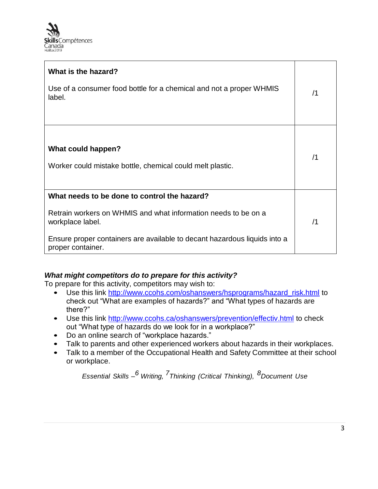

| What is the hazard?<br>Use of a consumer food bottle for a chemical and not a proper WHMIS<br>label.                                                                                                                                 | /1 |
|--------------------------------------------------------------------------------------------------------------------------------------------------------------------------------------------------------------------------------------|----|
| What could happen?<br>Worker could mistake bottle, chemical could melt plastic.                                                                                                                                                      | /1 |
| What needs to be done to control the hazard?<br>Retrain workers on WHMIS and what information needs to be on a<br>workplace label.<br>Ensure proper containers are available to decant hazardous liquids into a<br>proper container. |    |

### *What might competitors do to prepare for this activity?*

To prepare for this activity, competitors may wish to:

- Use this link [http://www.ccohs.com/oshanswers/hsprograms/hazard\\_risk.html](http://www.ccohs.com/oshanswers/hsprograms/hazard_risk.html) to check out "What are examples of hazards?" and "What types of hazards are there?"
- Use this link<http://www.ccohs.ca/oshanswers/prevention/effectiv.html> to check out "What type of hazards do we look for in a workplace?"
- Do an online search of "workplace hazards."
- Talk to parents and other experienced workers about hazards in their workplaces.
- Talk to a member of the Occupational Health and Safety Committee at their school or workplace.

*Essential Skills – <sup>6</sup> Writing, 7Thinking (Critical Thinking), 8Document Use*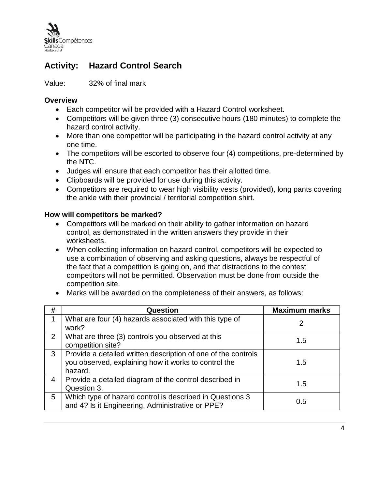

# **Activity: Hazard Control Search**

Value: 32% of final mark

## **Overview**

- Each competitor will be provided with a Hazard Control worksheet.
- Competitors will be given three (3) consecutive hours (180 minutes) to complete the hazard control activity.
- More than one competitor will be participating in the hazard control activity at any one time.
- The competitors will be escorted to observe four (4) competitions, pre-determined by the NTC.
- Judges will ensure that each competitor has their allotted time.
- Clipboards will be provided for use during this activity.
- Competitors are required to wear high visibility vests (provided), long pants covering the ankle with their provincial / territorial competition shirt.

## **How will competitors be marked?**

- Competitors will be marked on their ability to gather information on hazard control, as demonstrated in the written answers they provide in their worksheets.
- When collecting information on hazard control, competitors will be expected to use a combination of observing and asking questions, always be respectful of the fact that a competition is going on, and that distractions to the contest competitors will not be permitted. Observation must be done from outside the competition site.
- Marks will be awarded on the completeness of their answers, as follows:

| #             | Question                                                                                                                         | <b>Maximum marks</b> |
|---------------|----------------------------------------------------------------------------------------------------------------------------------|----------------------|
|               | What are four (4) hazards associated with this type of<br>work?                                                                  | 2                    |
| $\mathcal{P}$ | What are three (3) controls you observed at this<br>competition site?                                                            | 1.5                  |
| 3             | Provide a detailed written description of one of the controls<br>you observed, explaining how it works to control the<br>hazard. | 1.5                  |
| 4             | Provide a detailed diagram of the control described in<br>Question 3.                                                            | 1.5                  |
| 5             | Which type of hazard control is described in Questions 3<br>and 4? Is it Engineering, Administrative or PPE?                     | 0.5                  |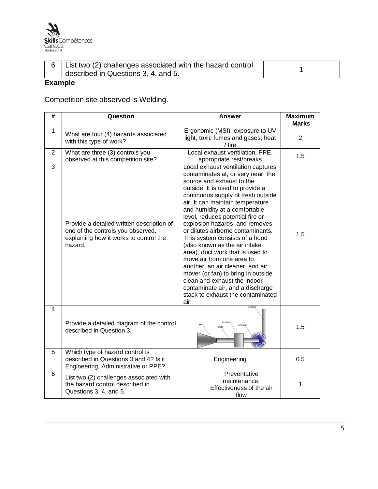

| 6 List two (2) challenges associated with the hazard control |  |
|--------------------------------------------------------------|--|
| described in Questions 3, 4, and 5.                          |  |

## **Example**

Competition site observed is Welding.

| #              | Question                                                                                                                            | <b>Answer</b>                                                                                                                                                                                                                                                                                                                                                                                                                                                                                                                                                                                                                                                                                  | <b>Maximum</b><br><b>Marks</b> |
|----------------|-------------------------------------------------------------------------------------------------------------------------------------|------------------------------------------------------------------------------------------------------------------------------------------------------------------------------------------------------------------------------------------------------------------------------------------------------------------------------------------------------------------------------------------------------------------------------------------------------------------------------------------------------------------------------------------------------------------------------------------------------------------------------------------------------------------------------------------------|--------------------------------|
| $\mathbf{1}$   | What are four (4) hazards associated<br>with this type of work?                                                                     | Ergonomic (MSI), exposure to UV<br>light, toxic fumes and gases, heat<br>/ fire                                                                                                                                                                                                                                                                                                                                                                                                                                                                                                                                                                                                                | $\overline{2}$                 |
| $\overline{2}$ | What are three (3) controls you<br>observed at this competition site?                                                               | Local exhaust ventilation, PPE,<br>appropriate rest/breaks                                                                                                                                                                                                                                                                                                                                                                                                                                                                                                                                                                                                                                     | 1.5                            |
| 3              | Provide a detailed written description of<br>one of the controls you observed,<br>explaining how it works to control the<br>hazard. | Local exhaust ventilation captures<br>contaminates at, or very near, the<br>source and exhaust to the<br>outside. It is used to provide a<br>continuous supply of fresh outside<br>air. It can maintain temperature<br>and humidity at a comfortable<br>level, reduces potential fire or<br>explosion hazards, and removes<br>or dilutes airborne contaminants.<br>This system consists of a hood<br>(also known as the air intake<br>area), duct work that is used to<br>move air from one area to<br>another, an air cleaner, and air<br>mover (or fan) to bring in outside<br>clean and exhaust the indoor<br>contaminate air, and a discharge<br>stack to exhaust the contaminated<br>air. | 1.5                            |
| $\overline{4}$ | Provide a detailed diagram of the control<br>described in Question 3.                                                               |                                                                                                                                                                                                                                                                                                                                                                                                                                                                                                                                                                                                                                                                                                | 1.5                            |
| 5              | Which type of hazard control is<br>described in Questions 3 and 4? Is it<br>Engineering, Administrative or PPE?                     | Engineering                                                                                                                                                                                                                                                                                                                                                                                                                                                                                                                                                                                                                                                                                    | 0.5                            |
| 6              | List two (2) challenges associated with<br>the hazard control described in<br>Questions 3, 4, and 5.                                | Preventative<br>maintenance,<br>Effectiveness of the air<br>flow                                                                                                                                                                                                                                                                                                                                                                                                                                                                                                                                                                                                                               | 1                              |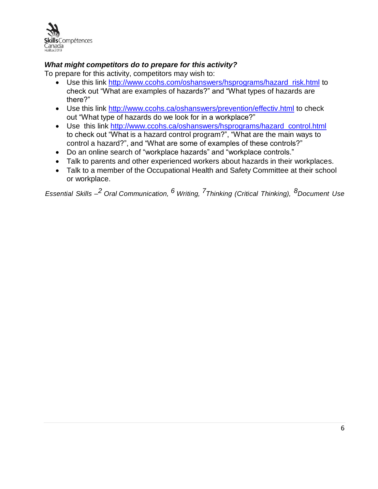

## *What might competitors do to prepare for this activity?*

To prepare for this activity, competitors may wish to:

- Use this link [http://www.ccohs.com/oshanswers/hsprograms/hazard\\_risk.html](http://www.ccohs.com/oshanswers/hsprograms/hazard_risk.html) to check out "What are examples of hazards?" and "What types of hazards are there?"
- Use this link<http://www.ccohs.ca/oshanswers/prevention/effectiv.html> to check out "What type of hazards do we look for in a workplace?"
- Use this link [http://www.ccohs.ca/oshanswers/hsprograms/hazard\\_control.html](http://www.ccohs.ca/oshanswers/hsprograms/hazard_control.html) to check out "What is a hazard control program?", "What are the main ways to control a hazard?", and "What are some of examples of these controls?"
- Do an online search of "workplace hazards" and "workplace controls."
- Talk to parents and other experienced workers about hazards in their workplaces.
- Talk to a member of the Occupational Health and Safety Committee at their school or workplace.

*Essential Skills – <sup>2</sup> Oral Communication, <sup>6</sup> Writing, 7Thinking (Critical Thinking), 8Document Use*